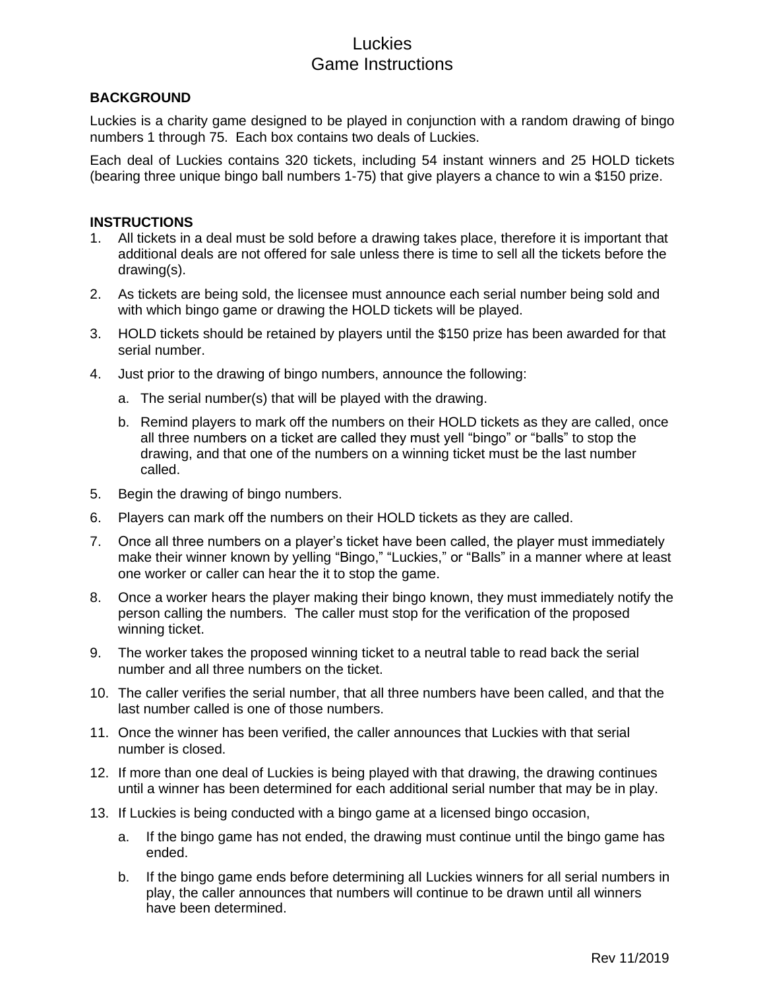# Luckies Game Instructions

### **BACKGROUND**

Luckies is a charity game designed to be played in conjunction with a random drawing of bingo numbers 1 through 75. Each box contains two deals of Luckies.

Each deal of Luckies contains 320 tickets, including 54 instant winners and 25 HOLD tickets (bearing three unique bingo ball numbers 1-75) that give players a chance to win a \$150 prize.

#### **INSTRUCTIONS**

- 1. All tickets in a deal must be sold before a drawing takes place, therefore it is important that additional deals are not offered for sale unless there is time to sell all the tickets before the drawing(s).
- 2. As tickets are being sold, the licensee must announce each serial number being sold and with which bingo game or drawing the HOLD tickets will be played.
- 3. HOLD tickets should be retained by players until the \$150 prize has been awarded for that serial number.
- 4. Just prior to the drawing of bingo numbers, announce the following:
	- a. The serial number(s) that will be played with the drawing.
	- b. Remind players to mark off the numbers on their HOLD tickets as they are called, once all three numbers on a ticket are called they must yell "bingo" or "balls" to stop the drawing, and that one of the numbers on a winning ticket must be the last number called.
- 5. Begin the drawing of bingo numbers.
- 6. Players can mark off the numbers on their HOLD tickets as they are called.
- 7. Once all three numbers on a player's ticket have been called, the player must immediately make their winner known by yelling "Bingo," "Luckies," or "Balls" in a manner where at least one worker or caller can hear the it to stop the game.
- 8. Once a worker hears the player making their bingo known, they must immediately notify the person calling the numbers. The caller must stop for the verification of the proposed winning ticket.
- 9. The worker takes the proposed winning ticket to a neutral table to read back the serial number and all three numbers on the ticket.
- 10. The caller verifies the serial number, that all three numbers have been called, and that the last number called is one of those numbers.
- 11. Once the winner has been verified, the caller announces that Luckies with that serial number is closed.
- 12. If more than one deal of Luckies is being played with that drawing, the drawing continues until a winner has been determined for each additional serial number that may be in play.
- 13. If Luckies is being conducted with a bingo game at a licensed bingo occasion,
	- a. If the bingo game has not ended, the drawing must continue until the bingo game has ended.
	- b. If the bingo game ends before determining all Luckies winners for all serial numbers in play, the caller announces that numbers will continue to be drawn until all winners have been determined.